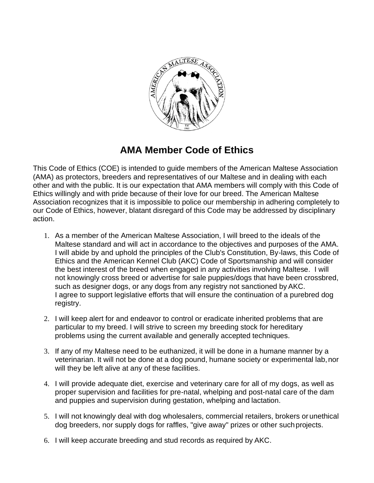

## **AMA Member Code of Ethics**

This Code of Ethics (COE) is intended to guide members of the American Maltese Association (AMA) as protectors, breeders and representatives of our Maltese and in dealing with each other and with the public. It is our expectation that AMA members will comply with this Code of Ethics willingly and with pride because of their love for our breed. The American Maltese Association recognizes that it is impossible to police our membership in adhering completely to our Code of Ethics, however, blatant disregard of this Code may be addressed by disciplinary action.

- 1. As a member of the American Maltese Association, I will breed to the ideals of the Maltese standard and will act in accordance to the objectives and purposes of the AMA. I will abide by and uphold the principles of the Club's Constitution, By-laws, this Code of Ethics and the American Kennel Club (AKC) Code of Sportsmanship and will consider the best interest of the breed when engaged in any activities involving Maltese. I will not knowingly cross breed or advertise for sale puppies/dogs that have been crossbred, such as designer dogs, or any dogs from any registry not sanctioned byAKC. I agree to support legislative efforts that will ensure the continuation of a purebred dog registry.
- 2. I will keep alert for and endeavor to control or eradicate inherited problems that are particular to my breed. I will strive to screen my breeding stock for hereditary problems using the current available and generally accepted techniques.
- 3. If any of my Maltese need to be euthanized, it will be done in a humane manner by a veterinarian. It will not be done at a dog pound, humane society or experimental lab,nor will they be left alive at any of these facilities.
- 4. I will provide adequate diet, exercise and veterinary care for all of my dogs, as well as proper supervision and facilities for pre-natal, whelping and post-natal care of the dam and puppies and supervision during gestation, whelping and lactation.
- 5. I will not knowingly deal with dog wholesalers, commercial retailers, brokers or unethical dog breeders, nor supply dogs for raffles, "give away" prizes or other suchprojects.
- 6. I will keep accurate breeding and stud records as required by AKC.